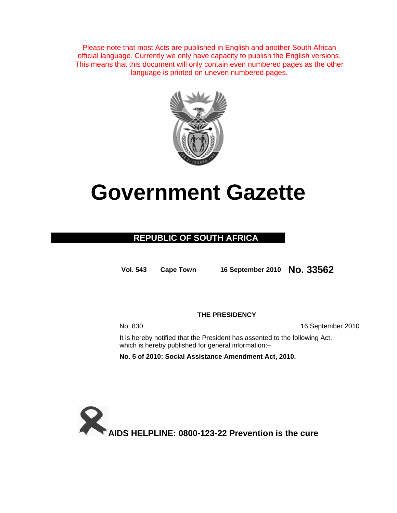Please note that most Acts are published in English and another South African official language. Currently we only have capacity to publish the English versions. This means that this document will only contain even numbered pages as the other language is printed on uneven numbered pages.



# **Government Gazette**

### **REPUBLIC OF SOUTH AFRICA**

**Vol. 543 Cape Town <sup>16</sup> September 2010 No. 33562**

**THE PRESIDENCY** 

No. 830 16 September 2010

It is hereby notified that the President has assented to the following Act, which is hereby published for general information:-

**No. 5 of 2010: Social Assistance Amendment Act, 2010.** 

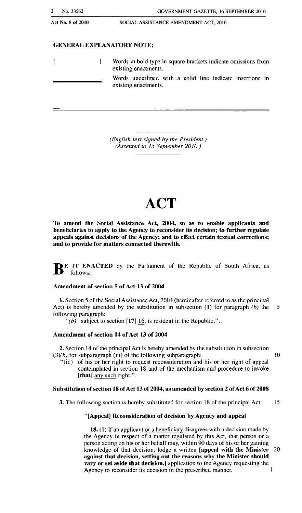Act No.5 of 2010

#### GENERAL EXPLANATORY NOTE:

 $\overline{1}$  $\mathbf{I}$ Words in bold type in square brackets indicate omissions from existing enactments. Words underlined wilh a solid line indicate insertions in existing enactments.

> *(English text signed by the President.) (Assented to* /5 *September 20/0.)*

## **ACT**

To amend the Social Assistance Act, 2004, so as to enable applicants and beneficiaries to apply to the Agency to reconsider its decision; to further regulate appeals against decisions of the Agency; and to effect certain textual corrections; and to provide for matters connected therewith,

BE IT ENACTED by the Parliament of the Republic of South Africa, as follows:-

#### Amendment of section 5 of Act 13 of 2004

1. Section 5 of the Social Assistance Act, 2004 (hereinafter referred to as the principal Act) is hereby amended by the substitution in subsection (1) for paragraph  $(b)$  the 5 following paragraph:

" $(b)$  subject to section [17] 16, is resident in the Republic;".

#### Amendment of section 14 of Act 13 of 2004

2. Section 14 of the principal Act is hereby amended by the substitution in subsection  $(3)(b)$  for subparagraph (iii) of the following subparagraph:  $10$ 

"(iii) of his or her right to request reconsideration and his or her right of appeal contemplated in section 18 and of the mechanism and procedure to invoke [that] any such right.".

#### Substitution of section 18 of Act 13 of 2004, as amended by section 2 of Act 6 of 2008

3. The following section is hereby substituted for section 18 of the principal Act: 15

#### "[Appeal] Reconsideration of decision by Agency and appeal

18. (I) If an applicant or a beneficiary disagrees with a decision made by the Agency in respect of a matter regulated by this Act, that person or a person acting on his or her behalf may, within 90 days of his or her gaining knowledge of that decision, lodge a written [appeal with tbe Minister 20 against that decision, setting out the reasons why the Minister should vary or set aside that decision.] application to the Agency requesting the Agency to reconsider its decision in the prescribed manner.